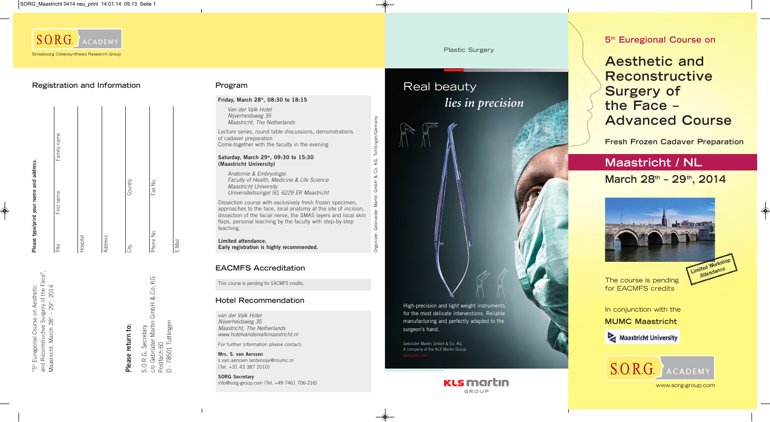# **5th Euregional Course on**

# **Aesthetic and Reconstructive Surgery of the Face – Advanced Course**



# **Maastricht / NL March 28th – 29th, 2014**



www.sorg-group.com

**Fresh Frozen Cadaver Preparation**

In conjunction with the **MUMC Maastricht**

Maastricht University

The course is pending for EACMFS credits

S.O.R.G. Secretary<br>c/o Gebrüder Martin GmbH & Co. KG<br>Postfach 60<br>D - 78501 Tuttlingen c/o Gebrüder Martin GmbH & Co. KG D - 78501 Tuttlingen S.O.R.G. Secretary Postfach 60



Please return to: **Please return to:**

|           | Please type/print your name and address. |             |
|-----------|------------------------------------------|-------------|
| Title     | First name                               | Family name |
| Hospital  |                                          |             |
| Address   |                                          |             |
| City      | Country                                  |             |
| Phone No. | Fax No.                                  |             |

E-Mail

## **Registration and Information**

## **Friday, March 28th, 08:30 to 18:15**

Van der Valk Hotel Nijverheidsweg 35 Maastricht, The Netherlands

Lecture series, round table discussions, demonstrations of cadaver preparation Come-together with the faculty in the evening

#### **Saturday, March 29th, 09:30 to 15:30 (Maastricht University)**

Anatomie & Embryologie Faculty of Health, Medicine & Life Science Maastricht University Universiteitssingel 50, 6229 ER Maastricht

Dissection course with exclusively fresh frozen specimen, approaches to the face, local anatomy at the site of incision, dissection of the facial nerve, the SMAS layers and local skin flaps, personal teaching by the faculty with step-by-step teaching.

**Limited attendance. Early registration is highly recommended.** Organizer: Gebrueder Martin GmbH & Co. KG, Tuttlingen/Germany

Geb

gani

Tuttlinger

ΚG, Co. ವ  $\frac{1}{2}$ 

## **Program**

van der Valk Hotel Nijverheidsweg 35 Maastricht, The Netherlands www.hotelvandervalkmaastricht.nl

For further information please contact:

**Mrs. S. van Aerssen**  s.van.aerssen.lardenoije@mumc.nl (Tel. +31 43 387 2010)

**SORG Secretary** info@sorg-group.com (Tel. +49 7461 706-216)

## **Hotel Recommendation**

This course is pending for EACMFS credits.

## **EACMFS Accreditation**

#### Plastic Surgery

# Real beauty *lies in precision*

High-precision and light weight instruments for the most delicate interventions. Reliable manufacturing and perfectly adapted to the surgeon's hand.

Gebrüder Martin GmbH & Co. KG A company of the KLS Martin Group